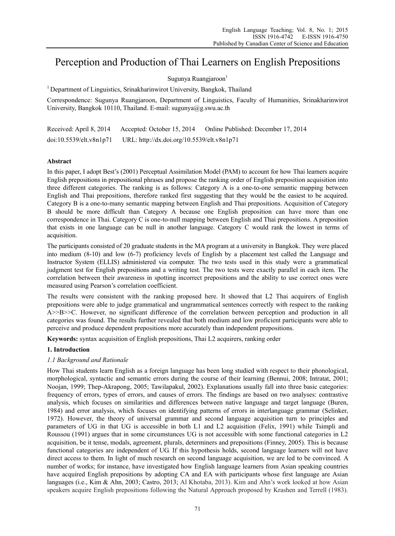# Perception and Production of Thai Learners on English Prepositions

# Sugunya Ruangjaroon<sup>1</sup>

 $1$  Department of Linguistics, Srinakharinwirot University, Bangkok, Thailand

Correspondence: Sugunya Ruangjaroon, Department of Linguistics, Faculty of Humanities, Srinakharinwirot University, Bangkok 10110, Thailand. E-mail: sugunya@g.swu.ac.th

Received: April 8, 2014 Accepted: October 15, 2014 Online Published: December 17, 2014 doi:10.5539/elt.v8n1p71 URL: http://dx.doi.org/10.5539/elt.v8n1p71

# **Abstract**

In this paper, I adopt Best's (2001) Perceptual Assimilation Model (PAM) to account for how Thai learners acquire English prepositions in prepositional phrases and propose the ranking order of English preposition acquisition into three different categories. The ranking is as follows: Category A is a one-to-one semantic mapping between English and Thai prepositions, therefore ranked first suggesting that they would be the easiest to be acquired. Category B is a one-to-many semantic mapping between English and Thai prepositions. Acquisition of Category B should be more difficult than Category A because one English preposition can have more than one correspondence in Thai. Category C is one-to-null mapping between English and Thai prepositions. A preposition that exists in one language can be null in another language. Category C would rank the lowest in terms of acquisition.

The participants consisted of 20 graduate students in the MA program at a university in Bangkok. They were placed into medium (8-10) and low (6-7) proficiency levels of English by a placement test called the Language and Instructor System (ELLIS) administered via computer. The two tests used in this study were a grammatical judgment test for English prepositions and a writing test. The two tests were exactly parallel in each item. The correlation between their awareness in spotting incorrect prepositions and the ability to use correct ones were measured using Pearson's correlation coefficient.

The results were consistent with the ranking proposed here. It showed that L2 Thai acquirers of English prepositions were able to judge grammatical and ungrammatical sentences correctly with respect to the ranking A>>B>>C. However, no significant difference of the correlation between perception and production in all categories was found. The results further revealed that both medium and low proficient participants were able to perceive and produce dependent prepositions more accurately than independent prepositions.

**Keywords:** syntax acquisition of English prepositions, Thai L2 acquirers, ranking order

# **1. Introduction**

# *1.1 Background and Rationale*

How Thai students learn English as a foreign language has been long studied with respect to their phonological, morphological, syntactic and semantic errors during the course of their learning (Bennui, 2008; Intratat, 2001; Noojan, 1999; Thep-Akrapong, 2005; Tawilapakul, 2002). Explanations usually fall into three basic categories: frequency of errors, types of errors, and causes of errors. The findings are based on two analyses: contrastive analysis, which focuses on similarities and differences between native language and target language (Buren, 1984) and error analysis, which focuses on identifying patterns of errors in interlanguage grammar (Selinker, 1972). However, the theory of universal grammar and second language acquisition turn to principles and parameters of UG in that UG is accessible in both L1 and L2 acquisition (Felix, 1991) while Tsimpli and Roussou (1991) argues that in some circumstances UG is not accessible with some functional categories in L2 acquisition, be it tense, modals, agreement, plurals, determiners and prepositions (Finney, 2005). This is because functional categories are independent of UG. If this hypothesis holds, second language learners will not have direct access to them. In light of much research on second language acquisition, we are led to be convinced. A number of works; for instance, have investigated how English language learners from Asian speaking countries have acquired English prepositions by adopting CA and EA with participants whose first language are Asian languages (i.e., Kim & Ahn, 2003; Castro, 2013; Al Khotaba, 2013). Kim and Ahn's work looked at how Asian speakers acquire English prepositions following the Natural Approach proposed by Krashen and Terrell (1983).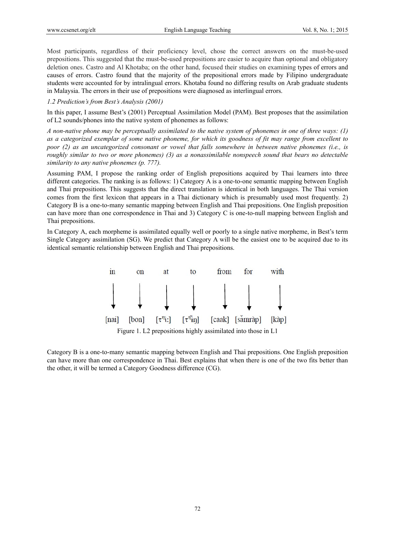Most participants, regardless of their proficiency level, chose the correct answers on the must-be-used prepositions. This suggested that the must-be-used prepositions are easier to acquire than optional and obligatory deletion ones. Castro and Al Khotaba; on the other hand, focused their studies on examining types of errors and causes of errors. Castro found that the majority of the prepositional errors made by Filipino undergraduate students were accounted for by intralingual errors. Khotaba found no differing results on Arab graduate students in Malaysia. The errors in their use of prepositions were diagnosed as interlingual errors.

### *1.2 Prediction's from Best's Analysis (2001)*

In this paper, I assume Best's (2001) Perceptual Assimilation Model (PAM). Best proposes that the assimilation of L2 sounds/phones into the native system of phonemes as follows:

*A non-native phone may be perceptually assimilated to the native system of phonemes in one of three ways: (1) as a categorized exemplar of some native phoneme, for which its goodness of fit may range from excellent to poor (2) as an uncategorized consonant or vowel that falls somewhere in between native phonemes (i.e., is roughly similar to two or more phonemes) (3) as a nonassimilable nonspeech sound that bears no detectable similarity to any native phonemes (p. 777).* 

Assuming PAM, I propose the ranking order of English prepositions acquired by Thai learners into three different categories. The ranking is as follows: 1) Category A is a one-to-one semantic mapping between English and Thai prepositions. This suggests that the direct translation is identical in both languages. The Thai version comes from the first lexicon that appears in a Thai dictionary which is presumably used most frequently. 2) Category B is a one-to-many semantic mapping between English and Thai prepositions. One English preposition can have more than one correspondence in Thai and 3) Category C is one-to-null mapping between English and Thai prepositions.

In Category A, each morpheme is assimilated equally well or poorly to a single native morpheme, in Best's term Single Category assimilation (SG). We predict that Category A will be the easiest one to be acquired due to its identical semantic relationship between English and Thai prepositions.



Figure 1. L2 prepositions highly assimilated into those in L1

Category B is a one-to-many semantic mapping between English and Thai prepositions. One English preposition can have more than one correspondence in Thai. Best explains that when there is one of the two fits better than the other, it will be termed a Category Goodness difference (CG).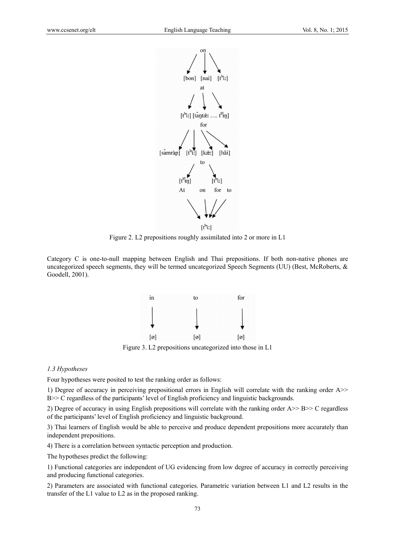

Figure 2. L2 prepositions roughly assimilated into 2 or more in L1

Category C is one-to-null mapping between English and Thai prepositions. If both non-native phones are uncategorized speech segments, they will be termed uncategorized Speech Segments (UU) (Best, McRoberts, & Goodell, 2001).



Figure 3. L2 prepositions uncategorized into those in L1

### *1.3 Hypotheses*

Four hypotheses were posited to test the ranking order as follows:

1) Degree of accuracy in perceiving prepositional errors in English will correlate with the ranking order A>> B>> C regardless of the participants' level of English proficiency and linguistic backgrounds.

2) Degree of accuracy in using English prepositions will correlate with the ranking order A>> B>> C regardless of the participants' level of English proficiency and linguistic background.

3) Thai learners of English would be able to perceive and produce dependent prepositions more accurately than independent prepositions.

4) There is a correlation between syntactic perception and production.

The hypotheses predict the following:

1) Functional categories are independent of UG evidencing from low degree of accuracy in correctly perceiving and producing functional categories.

2) Parameters are associated with functional categories. Parametric variation between L1 and L2 results in the transfer of the L1 value to L2 as in the proposed ranking.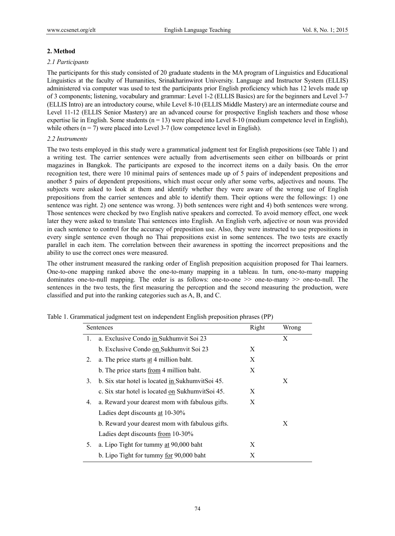### **2. Method**

#### *2.1 Participants*

The participants for this study consisted of 20 graduate students in the MA program of Linguistics and Educational Linguistics at the faculty of Humanities, Srinakharinwirot University. Language and Instructor System (ELLIS) administered via computer was used to test the participants prior English proficiency which has 12 levels made up of 3 components; listening, vocabulary and grammar: Level 1-2 (ELLIS Basics) are for the beginners and Level 3-7 (ELLIS Intro) are an introductory course, while Level 8-10 (ELLIS Middle Mastery) are an intermediate course and Level 11-12 (ELLIS Senior Mastery) are an advanced course for prospective English teachers and those whose expertise lie in English. Some students ( $n = 13$ ) were placed into Level 8-10 (medium competence level in English), while others  $(n = 7)$  were placed into Level 3-7 (low competence level in English).

### *2.2 Instruments*

The two tests employed in this study were a grammatical judgment test for English prepositions (see Table 1) and a writing test. The carrier sentences were actually from advertisements seen either on billboards or print magazines in Bangkok. The participants are exposed to the incorrect items on a daily basis. On the error recognition test, there were 10 minimal pairs of sentences made up of 5 pairs of independent prepositions and another 5 pairs of dependent prepositions, which must occur only after some verbs, adjectives and nouns. The subjects were asked to look at them and identify whether they were aware of the wrong use of English prepositions from the carrier sentences and able to identify them. Their options were the followings: 1) one sentence was right. 2) one sentence was wrong. 3) both sentences were right and 4) both sentences were wrong. Those sentences were checked by two English native speakers and corrected. To avoid memory effect, one week later they were asked to translate Thai sentences into English. An English verb, adjective or noun was provided in each sentence to control for the accuracy of preposition use. Also, they were instructed to use prepositions in every single sentence even though no Thai prepositions exist in some sentences. The two tests are exactly parallel in each item. The correlation between their awareness in spotting the incorrect prepositions and the ability to use the correct ones were measured.

The other instrument measured the ranking order of English preposition acquisition proposed for Thai learners. One-to-one mapping ranked above the one-to-many mapping in a tableau. In turn, one-to-many mapping dominates one-to-null mapping. The order is as follows: one-to-one >> one-to-many >> one-to-null. The sentences in the two tests, the first measuring the perception and the second measuring the production, were classified and put into the ranking categories such as A, B, and C.

|    | Sentences                                        | Right | Wrong |
|----|--------------------------------------------------|-------|-------|
| 1. | a. Exclusive Condo in Sukhumvit Soi 23           |       | X     |
|    | b. Exclusive Condo on Sukhumvit Soi 23           | X     |       |
| 2. | a. The price starts at 4 million baht.           | Χ     |       |
|    | b. The price starts from 4 million baht.         | Χ     |       |
| 3. | b. Six star hotel is located in SukhumvitSoi 45. |       | X     |
|    | c. Six star hotel is located on SukhumvitSoi 45. | X     |       |
| 4. | a. Reward your dearest mom with fabulous gifts.  | X     |       |
|    | Ladies dept discounts at 10-30%                  |       |       |
|    | b. Reward your dearest mom with fabulous gifts.  |       | X     |
|    | Ladies dept discounts from 10-30%                |       |       |
| 5. | a. Lipo Tight for tummy at 90,000 baht           | X     |       |
|    | b. Lipo Tight for tummy for 90,000 baht          | Χ     |       |

Table 1. Grammatical judgment test on independent English preposition phrases (PP)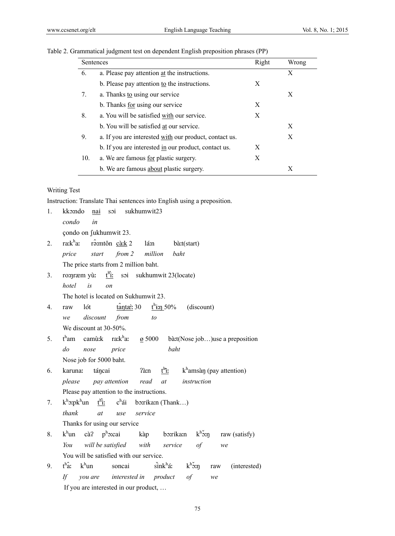|     | Sentences                                              | Right | Wrong |
|-----|--------------------------------------------------------|-------|-------|
| 6.  | a. Please pay attention at the instructions.           |       | X     |
|     | b. Please pay attention to the instructions.           | X     |       |
| 7.  | a. Thanks to using our service                         |       | X     |
|     | b. Thanks <u>for</u> using our service                 | X     |       |
| 8.  | a. You will be satisfied with our service.             | X     |       |
|     | b. You will be satisfied at our service.               |       | X     |
| 9.  | a. If you are interested with our product, contact us. |       | Χ     |
|     | b. If you are interested in our product, contact us.   | X     |       |
| 10. | a. We are famous for plastic surgery.                  | X     |       |
|     | b. We are famous about plastic surgery.                |       | Χ     |

### Table 2. Grammatical judgment test on dependent English preposition phrases (PP)

# Writing Test

Instruction: Translate Thai sentences into English using a preposition.

| 1. | kko:ndo<br>nai<br>sukhumwit23<br>soi                                                                   |
|----|--------------------------------------------------------------------------------------------------------|
|    | condo<br>in                                                                                            |
|    | çondo on fukhumwit 23.                                                                                 |
| 2. | ra:k <sup>h</sup> a:<br>ramtôn ca:k 2 lá:n<br>bà:t(start)                                              |
|    | from 2<br>start<br>million<br>baht<br>price                                                            |
|    | The price starts from 2 million baht.                                                                  |
| 3. | ro:nyræm yù: $t^{\frac{K}{12}}$ soi sukhumwit 23(locate)                                               |
|    | hotel<br>i <sub>S</sub><br>$\overline{on}$                                                             |
|    | The hotel is located on Sukhumwit 23.                                                                  |
| 4. | $t^{\text{h}}$ i:n 50% (discount)<br>lót<br>$\frac{\text{tan}(x)}{2}$ 30<br>raw                        |
|    | discount from<br>to<br>we                                                                              |
|    | We discount at 30-50%.                                                                                 |
| 5. | t <sup>h</sup> am camù:k ra:k <sup>h</sup> a:<br>$\sigma$ 5000<br>bà:t(Nose job) use a preposition     |
|    | <b>baht</b><br>$d\sigma$<br>price<br>nose                                                              |
|    | Nose job for 5000 baht.                                                                                |
| 6. | $\frac{t^h i!}{h!}$<br>k <sup>h</sup> amsàn (pay attention)<br>karuna:<br>táncai<br>?àːn               |
|    | pay attention<br>read<br>instruction<br>please<br>at                                                   |
|    | Please pay attention to the instructions.                                                              |
| 7. | $k^h$ o:p $k^h$ un $\underline{t^h}$ : c <sup>h</sup> ái bo:rika:n (Thank)                             |
|    | thank<br><i>at</i><br>service<br>use                                                                   |
|    | Thanks for using our service                                                                           |
| 8. | $k^h$ 3:ŋ<br>$c\grave{a}$ ? p <sup>h</sup> o:cai<br>$k^h$ un<br>kàp<br>bɔːrikaːn<br>raw (satisfy)      |
|    | will be satisfied with<br>You<br>service of<br>we                                                      |
|    | You will be satisfied with our service.                                                                |
| 9. | $\sin kh$ á: $kh$ $\sin k$<br>$t^{\hat{n}}\hat{a}$ : $k^{\hat{n}}$ un<br>soncai<br>(interested)<br>raw |
|    | you are interested in product<br>If<br>of<br>we                                                        |
|    |                                                                                                        |

If you are interested in our product, …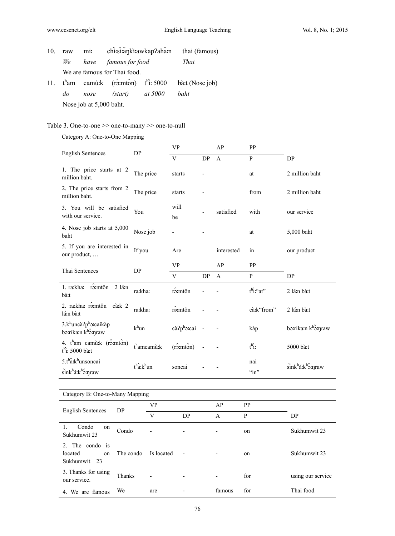| 10. | raw                          | mi:  | chi:si:anki:awkap?aha:n<br>thai (famous)            |                |                 |  |  |
|-----|------------------------------|------|-----------------------------------------------------|----------------|-----------------|--|--|
|     | We                           |      | have famous for food                                | Thai           |                 |  |  |
|     | We are famous for Thai food. |      |                                                     |                |                 |  |  |
|     |                              |      | 11. $th$ am camurk (r $\hat{e}$ :mton) $th$ i: 5000 |                | bà:t (Nose job) |  |  |
|     | $d\sigma$                    | nose | (start)                                             | <i>at</i> 5000 | baht            |  |  |
|     | Nose job at 5,000 baht.      |      |                                                     |                |                 |  |  |

# Table 3. One-to-one >> one-to-many >> one-to-null

| Category A: One-to-One Mapping                                  |                         |                           |           |              |                |                                 |  |
|-----------------------------------------------------------------|-------------------------|---------------------------|-----------|--------------|----------------|---------------------------------|--|
|                                                                 | DP                      | <b>VP</b>                 |           | AP           | PP             |                                 |  |
| <b>English Sentences</b>                                        |                         | V                         | DP        | A            | $\mathbf{P}$   | DP                              |  |
| 1. The price starts at 2<br>million baht.                       | The price               | starts                    |           |              | at             | 2 million baht                  |  |
| 2. The price starts from 2<br>million baht.                     | The price               | starts                    |           |              | from           | 2 million baht                  |  |
| 3. You will be satisfied                                        | You                     | will                      |           | satisfied    | with           | our service                     |  |
| with our service.                                               |                         | be                        |           |              |                |                                 |  |
| 4. Nose job starts at 5,000<br>baht                             | Nose job                |                           |           |              | at             | 5,000 baht                      |  |
| 5. If you are interested in<br>our product,                     | If you                  | Are                       |           | interested   | in             | our product                     |  |
| Thai Sentences                                                  | DP                      | <b>VP</b>                 |           | AP           | PP             |                                 |  |
|                                                                 |                         | V                         | <b>DP</b> | $\mathbf{A}$ | $\mathbf{P}$   | <b>DP</b>                       |  |
| 1. ra:kha:<br>rəmtôn<br>2 lá:n<br><b>bà:t</b>                   | ra:kha:                 | rəmtôn                    |           |              | $th$ i:"at"    | 2 lá:n bà:t                     |  |
| 2. ra:kha: ro:mtôn cà:k 2<br>lá:n bà:t                          | ra:kha:                 | $\hat{\text{r2}}\text{m}$ |           |              | cà:k"from"     | 2 lá:n bà:t                     |  |
| $3.k^h$ uncà?p $^h$ o:caikàp<br>bo:rika:n k <sup>h</sup> o:nraw | $k^h$ un                | $ca2ph$ o:cai             |           |              | kàp            | bo:rika:n k <sup>h</sup> o:nraw |  |
| 4. $th$ am camu: $k$ (rô:mtôn)<br>$th$ i: 5000 bà:t             | t <sup>h</sup> amcamù:k | $(r\hat{a}$ : mton)       |           |              | t <sup>h</sup> | 5000 bà:t                       |  |
| $5.t^h\hat{a}:k^h$ unsoncai                                     | $t^h$ a: $k^h$ un       |                           |           |              | nai            | sinkhá:khǒ:nraw                 |  |
| sinkhá:khǒ:nraw                                                 |                         | soncai                    |           |              | $\sin$ "       |                                 |  |

| Category B: One-to-Many Mapping                  |           |                          |                          |                          |     |                   |  |
|--------------------------------------------------|-----------|--------------------------|--------------------------|--------------------------|-----|-------------------|--|
| <b>English Sentences</b>                         | DP        | VP                       |                          | AP                       | PP  |                   |  |
|                                                  |           | V                        | DP                       | A                        | P   | DP                |  |
| Condo<br>on<br>Sukhumwit 23                      | Condo     | $\overline{\phantom{0}}$ |                          | $\overline{\phantom{a}}$ | on  | Sukhumwit 23      |  |
| 2. The condo is<br>located<br>on<br>Sukhumwit 23 | The condo | Is located               | $\overline{\phantom{a}}$ | $\overline{\phantom{a}}$ | on  | Sukhumwit 23      |  |
| 3. Thanks for using<br>our service.              | Thanks    | ۰                        |                          | $\overline{\phantom{a}}$ | for | using our service |  |
| We are famous<br>4                               | We        | are                      |                          | famous                   | for | Thai food         |  |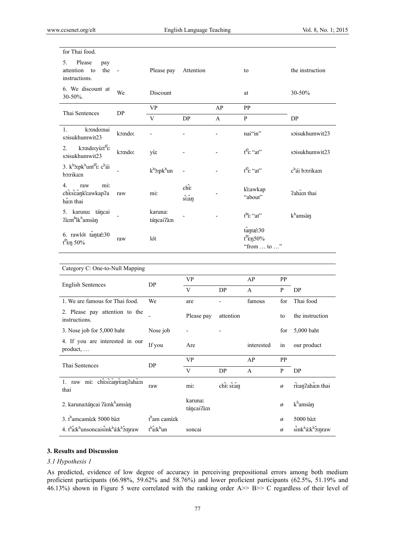| for Thai food.                                                                                     |                          |                       |                                             |              |                                                                 |                             |
|----------------------------------------------------------------------------------------------------|--------------------------|-----------------------|---------------------------------------------|--------------|-----------------------------------------------------------------|-----------------------------|
| Please<br>5.<br>pay<br>the<br>attention<br>to<br>instructions.                                     | $\overline{\phantom{a}}$ | Please pay            | Attention                                   |              | to                                                              | the instruction             |
| 6. We discount at<br>30-50%.                                                                       | We                       | Discount              |                                             |              | at                                                              | 30-50%                      |
| Thai Sentences                                                                                     | DP                       | AP<br><b>VP</b>       |                                             | <b>PP</b>    |                                                                 |                             |
|                                                                                                    |                          | V                     | <b>DP</b>                                   | $\mathsf{A}$ | P                                                               | DP                          |
| ko:ndo:nai<br>$1_{-}$<br>soisukhumwit23                                                            | ko:ndo:                  |                       |                                             |              | nai"in"                                                         | soisukhumwit23              |
| ko:ndo:yù:t <sup>h</sup> i:<br>2.<br>soisukhumwit23                                                | ko:ndo:                  | yù:                   |                                             |              | $th$ i: "at"                                                    | soisukhumwit23              |
| 3. k <sup>h</sup> <sub>2</sub> :pk <sup>h</sup> unt <sup>h</sup> i: c <sup>h</sup> ái<br>bo:rika:n |                          | $k^h$ b:p $k^h$ un    |                                             |              | $th$ i: "at"                                                    | c <sup>h</sup> ái bo:rika:n |
| mi:<br>4.<br>raw<br>chi:si:aŋki:awkap?a<br>ha:n thai                                               | raw                      | mi:                   | ch <sub>i</sub> :<br>$\check{\text{sigma}}$ |              | ki:awkap<br>"about"                                             | ?aha:n thai                 |
| 5. karuna: táncai<br>?à:nt <sup>h</sup> ikhamsàn                                                   |                          | karuna:<br>táncai?à:n |                                             |              | $t^{\text{ln}}$ : "at"                                          | k <sup>h</sup> amsàn        |
| 6. rawlót tântær30<br>$t^{\text{h}}$ in 50%                                                        | raw                      | 16t                   |                                             |              | tantæ?30<br>$t^{\text{h}}$ i:n50%<br>"from $\dots$ to $\dots$ " |                             |

| Category C: One-to-Null Mapping                             |                   |                       |            |              |           |                                |
|-------------------------------------------------------------|-------------------|-----------------------|------------|--------------|-----------|--------------------------------|
| <b>English Sentences</b>                                    | DP                | <b>VP</b>             |            | AP           | <b>PP</b> |                                |
|                                                             |                   | V                     | DP         | $\mathsf{A}$ | P         | DP                             |
| 1. We are famous for Thai food.                             | We                | are                   |            | famous       | for       | Thai food                      |
| 2. Please pay attention to the<br>instructions.             |                   | Please pay            | attention  |              | to        | the instruction                |
| 3. Nose job for 5,000 baht                                  | Nose job          |                       |            |              | for       | 5,000 baht                     |
| 4. If you are interested in our<br>$product, \ldots$        | If you            | Are                   |            | interested   | in        | our product                    |
| Thai Sentences                                              | <b>DP</b>         | <b>VP</b>             |            | AP           | <b>PP</b> |                                |
|                                                             |                   | V                     | DP         | $\mathsf{A}$ | P         | DP                             |
| 1. raw mi: chi:si:anri:an?aha:n<br>thai                     | raw               | mi:                   | chi: si:an |              | ø         | ri:an?aha:n thai               |
| 2. karuna: táncai ?à:nkhamsàn                               |                   | karuna:<br>táncai?à:n |            |              | ø         | k <sup>h</sup> amsàn           |
| 3. $t^{\text{h}}$ amcamu:k 5000 bà:t                        | $th$ am camu: $k$ |                       |            |              | ø         | 5000 bà:t                      |
| 4. $t^h$ a: $k^h$ unsoncaisin $k^h$ a: $k^h$ $\gamma$ :nraw | $t^h$ a: $k^h$ un | soncai                |            |              | ø         | $\sin k^h$ á: $k^h$ $\sin$ raw |

# **3. Results and Discussion**

### *3.1 Hypothesis 1*

As predicted, evidence of low degree of accuracy in perceiving prepositional errors among both medium proficient participants (66.98%, 59.62% and 58.76%) and lower proficient participants (62.5%, 51.19% and 46.13%) shown in Figure 5 were correlated with the ranking order A>> B>> C regardless of their level of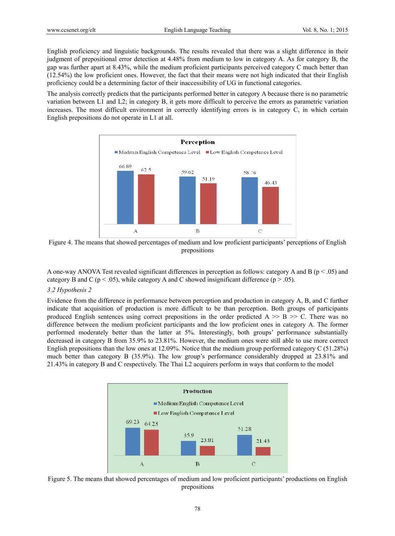English proficiency and linguistic backgrounds. The results revealed that there was a slight difference in their judgment of prepositional error detection at 4.48% from medium to low in category A. As for category B, the gap was further apart at 8.43%, while the medium proficient participants perceived category C much better than (12.54%) the low proficient ones. However, the fact that their means were not high indicated that their English proficiency could be a determining factor of their inaccessibility of UG in functional categories.

The analysis correctly predicts that the participants performed better in category A because there is no parametric variation between L1 and L2; in category B, it gets more difficult to perceive the errors as parametric variation increases. The most difficult environment in correctly identifying errors is in category C, in which certain English prepositions do not operate in L1 at all.



Figure 4. The means that showed percentages of medium and low proficient participants' perceptions of English prepositions

A one-way ANOVA Test revealed significant differences in perception as follows: category A and B ( $p < .05$ ) and category B and C ( $p < .05$ ), while category A and C showed insignificant difference ( $p > .05$ ).

# *3.2 Hypothesis 2*

Evidence from the difference in performance between perception and production in category A, B, and C further indicate that acquisition of production is more difficult to be than perception. Both groups of participants produced English sentences using correct prepositions in the order predicted  $A \gg B \gg C$ . There was no difference between the medium proficient participants and the low proficient ones in category A. The former performed moderately better than the latter at 5%. Interestingly, both groups' performance substantially decreased in category B from 35.9% to 23.81%. However, the medium ones were still able to use more correct English prepositions than the low ones at 12.09%. Notice that the medium group performed category C (51.28%) much better than category B (35.9%). The low group's performance considerably dropped at 23.81% and 21.43% in category B and C respectively. The Thai L2 acquirers perform in ways that conform to the model



Figure 5. The means that showed percentages of medium and low proficient participants' productions on English prepositions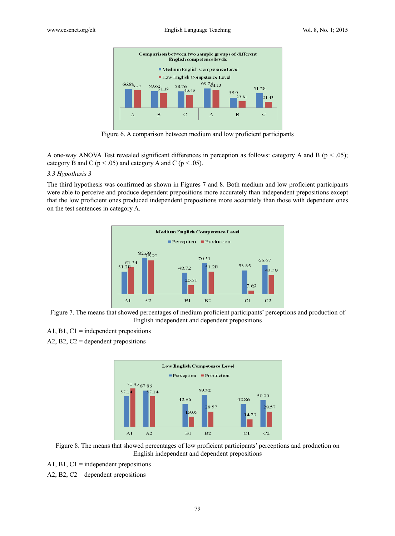

Figure 6. A comparison between medium and low proficient participants

A one-way ANOVA Test revealed significant differences in perception as follows: category A and B ( $p < .05$ ); category B and C ( $p < .05$ ) and category A and C ( $p < .05$ ).

### *3.3 Hypothesis 3*

The third hypothesis was confirmed as shown in Figures 7 and 8. Both medium and low proficient participants were able to perceive and produce dependent prepositions more accurately than independent prepositions except that the low proficient ones produced independent prepositions more accurately than those with dependent ones on the test sentences in category A.



Figure 7. The means that showed percentages of medium proficient participants' perceptions and production of English independent and dependent prepositions

A1, B1,  $C1$  = independent prepositions

A2, B2,  $C2$  = dependent prepositions



Figure 8. The means that showed percentages of low proficient participants' perceptions and production on English independent and dependent prepositions

- A1, B1,  $C1$  = independent prepositions
- A2, B2,  $C2$  = dependent prepositions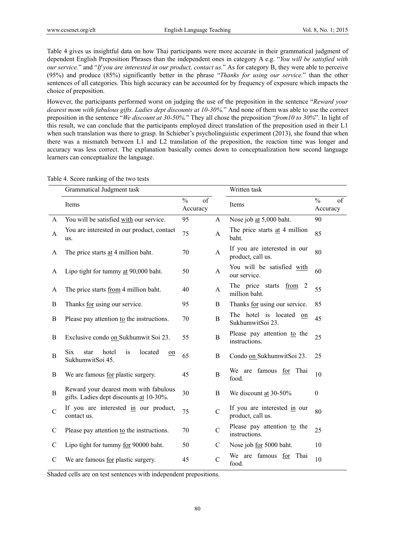Table 4 gives us insightful data on how Thai participants were more accurate in their grammatical judgment of dependent English Preposition Phrases than the independent ones in category A e.g. "*You will be satisfied with our service.*" and "*If you are interested in our product, contact us.*" As for category B, they were able to perceive (95%) and produce (85%) significantly better in the phrase "*Thanks for using our service.*" than the other sentences of all categories. This high accuracy can be accounted for by frequency of exposure which impacts the choice of preposition.

However, the participants performed worst on judging the use of the preposition in the sentence "*Reward your dearest mom with fabulous gifts. Ladies dept discounts at 10-30%.*" And none of them was able to use the correct preposition in the sentence "*We discount at 30-50%.*" They all chose the preposition "*from10 to 30%*". In light of this result, we can conclude that the participants employed direct translation of the preposition used in their L1 when such translation was there to grasp. In Schieber's psycholinguistic experiment (2013), she found that when there was a mismatch between L1 and L2 translation of the preposition, the reaction time was longer and accuracy was less correct. The explanation basically comes down to conceptualization how second language learners can conceptualize the language.

|                | Grammatical Judgment task                                                        |                                 |                | Written task                                      |                                 |  |
|----------------|----------------------------------------------------------------------------------|---------------------------------|----------------|---------------------------------------------------|---------------------------------|--|
|                | Items                                                                            | $\frac{0}{0}$<br>of<br>Accuracy |                | Items                                             | $\frac{0}{0}$<br>of<br>Accuracy |  |
| $\mathbf{A}$   | You will be satisfied with our service.                                          | 95                              | A              | Nose job at 5,000 baht.                           | 90                              |  |
| $\mathbf{A}$   | You are interested in our product, contact<br>us.                                | 75                              | A              | The price starts at 4 million<br>baht.            | 85                              |  |
| A              | The price starts at 4 million baht.                                              | 70                              | A              | If you are interested in our<br>product, call us. | 80                              |  |
| A              | Lipo tight for tummy at 90,000 baht.                                             | 50                              | A              | You will be satisfied with<br>our service.        | 60                              |  |
| A              | The price starts from 4 million baht.                                            | 40                              | A              | The price starts from 2<br>million baht.          | 55                              |  |
| B              | Thanks for using our service.                                                    | 95                              | B              | Thanks for using our service.                     | 85                              |  |
| $\bf{B}$       | Please pay attention to the instructions.                                        | 70                              | $\bf{B}$       | The hotel is located on<br>SukhumwitSoi 23.       | 45                              |  |
| B              | Exclusive condo on Sukhumwit Soi 23.                                             | 55                              | B              | Please pay attention to the<br>instructions.      | 25                              |  |
| $\mathbf B$    | Six<br>hotel<br>is<br>located<br>star<br>on<br>SukhumwitSoi 45.                  | 65                              | B              | Condo on SukhumwitSoi 23.                         | 25                              |  |
| B              | We are famous for plastic surgery.                                               | 45                              | B              | We are famous for<br>Thai<br>food.                | 10                              |  |
| B              | Reward your dearest mom with fabulous<br>gifts. Ladies dept discounts at 10-30%. | 30                              | B              | We discount at 30-50%                             | $\theta$                        |  |
| $\overline{C}$ | If you are interested in our product,<br>contact us.                             | 75                              | $\overline{C}$ | If you are interested in our<br>product, call us. | 80                              |  |
| $\mathcal{C}$  | Please pay attention to the instructions.                                        | 70                              | $\mathcal{C}$  | Please pay attention to the<br>instructions.      | 25                              |  |
| $\mathcal{C}$  | Lipo tight for tummy for 90000 baht.                                             | 50                              | C              | Nose job for 5000 baht.                           | 10                              |  |
| $\mathcal{C}$  | We are famous for plastic surgery.                                               | 45                              | $\mathcal{C}$  | We are famous for<br>Thai<br>food.                | 10                              |  |

Table 4. Score ranking of the two tests

Shaded cells are on test sentences with independent prepositions.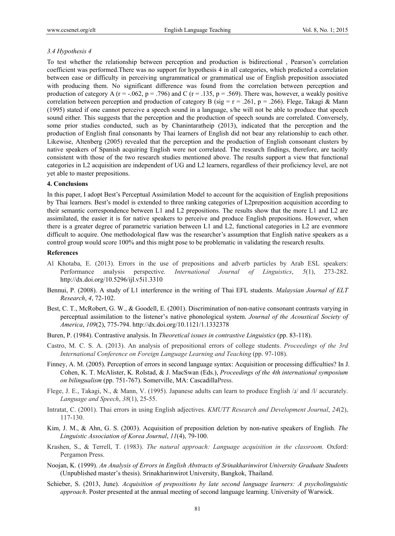### *3.4 Hypothesis 4*

To test whether the relationship between perception and production is bidirectional , Pearson's correlation coefficient was performed.There was no support for hypothesis 4 in all categories, which predicted a correlation between ease or difficulty in perceiving ungrammatical or grammatical use of English preposition associated with producing them. No significant difference was found from the correlation between perception and production of category A ( $r = -.062$ ,  $p = .796$ ) and C ( $r = .135$ ,  $p = .569$ ). There was, however, a weakly positive correlation between perception and production of category B (sig = r = .261, p = .266). Flege, Takagi & Mann (1995) stated if one cannot perceive a speech sound in a language, s/he will not be able to produce that speech sound either. This suggests that the perception and the production of speech sounds are correlated. Conversely, some prior studies conducted, such as by Chanintaratheip (2013), indicated that the perception and the production of English final consonants by Thai learners of English did not bear any relationship to each other. Likewise, Altenberg (2005) revealed that the perception and the production of English consonant clusters by native speakers of Spanish acquiring English were not correlated. The research findings, therefore, are tacitly consistent with those of the two research studies mentioned above. The results support a view that functional categories in L2 acquisition are independent of UG and L2 learners, regardless of their proficiency level, are not yet able to master prepositions.

### **4. Conclusions**

In this paper, I adopt Best's Perceptual Assimilation Model to account for the acquisition of English prepositions by Thai learners. Best's model is extended to three ranking categories of L2preposition acquisition according to their semantic correspondence between L1 and L2 prepositions. The results show that the more L1 and L2 are assimilated, the easier it is for native speakers to perceive and produce English prepositions. However, when there is a greater degree of parametric variation between L1 and L2, functional categories in L2 are evenmore difficult to acquire. One methodological flaw was the researcher's assumption that English native speakers as a control group would score 100% and this might pose to be problematic in validating the research results.

#### **References**

- Al Khotaba, E. (2013). Errors in the use of prepositions and adverb particles by Arab ESL speakers: Performance analysis perspective. *International Journal of Linguistics*, *5*(1), 273-282. http://dx.doi.org/10.5296/ijl.v5i1.3310
- Bennui, P. (2008). A study of L1 interference in the writing of Thai EFL students. *Malaysian Journal of ELT Research*, *4*, 72-102.
- Best, C. T., McRobert, G. W., & Goodell, E. (2001). Discrimination of non-native consonant contrasts varying in perceptual assimilation to the listener's native phonological system. *Journal of the Acoustical Society of America*, *109*(2), 775-794. http://dx.doi.org/10.1121/1.1332378
- Buren, P. (1984). Contrastive analysis. In *Theoretical issues in contrastive Linguistics* (pp. 83-118).
- Castro, M. C. S. A. (2013). An analysis of prepositional errors of college students. *Proceedings of the 3rd International Conference on Foreign Language Learning and Teaching* (pp. 97-108).
- Finney, A. M. (2005). Perception of errors in second language syntax: Acquisition or processing difficulties? In J. Cohen, K. T. McAlister, K. Rolstad, & J. MacSwan (Eds.), *Proceedings of the 4th international symposium on bilingualism* (pp. 751-767). Somerville, MA: CascadillaPress.
- Flege, J. E., Takagi, N., & Mann, V. (1995). Japanese adults can learn to produce English // and /l/ accurately. *Language and Speech*, *38*(1), 25-55.
- Intratat, C. (2001). Thai errors in using English adjectives. *KMUTT Research and Development Journal*, *24*(2), 117-130.
- Kim, J. M., & Ahn, G. S. (2003). Acquisition of preposition deletion by non-native speakers of English. *The Linguistic Association of Korea Journal*, *11*(4), 79-100.
- Krashen, S., & Terrell, T. (1983). *The natural approach: Language acquisition in the classroom.* Oxford: Pergamon Press.
- Noojan, K. (1999). *An Analysis of Errors in English Abstracts of Srinakharinwirot University Graduate Students* (Unpublished master's thesis). Srinakharinwirot University, Bangkok, Thailand.
- Schieber, S. (2013, June). *Acquisition of prepositions by late second language learners: A psycholinguistic approach*. Poster presented at the annual meeting of second language learning. University of Warwick.